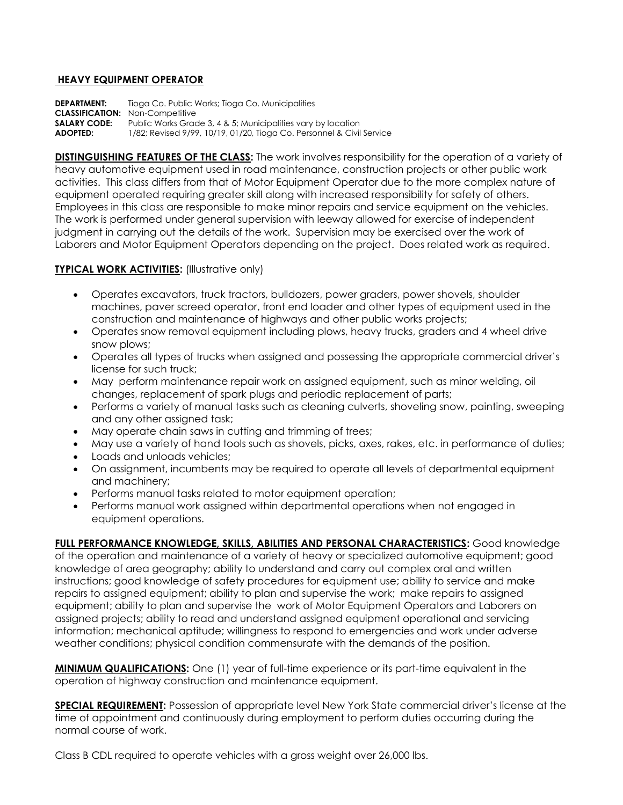## **HEAVY EQUIPMENT OPERATOR**

**DEPARTMENT:** Tioga Co. Public Works; Tioga Co. Municipalities **CLASSIFICATION:** Non-Competitive<br>**SALARY CODE:** Public Works Grace Public Works Grade 3, 4 & 5; Municipalities vary by location **ADOPTED:** 1/82; Revised 9/99, 10/19, 01/20, Tioga Co. Personnel & Civil Service

**DISTINGUISHING FEATURES OF THE CLASS:** The work involves responsibility for the operation of a variety of heavy automotive equipment used in road maintenance, construction projects or other public work activities. This class differs from that of Motor Equipment Operator due to the more complex nature of equipment operated requiring greater skill along with increased responsibility for safety of others. Employees in this class are responsible to make minor repairs and service equipment on the vehicles. The work is performed under general supervision with leeway allowed for exercise of independent judgment in carrying out the details of the work. Supervision may be exercised over the work of Laborers and Motor Equipment Operators depending on the project. Does related work as required.

## **TYPICAL WORK ACTIVITIES:** (Illustrative only)

- Operates excavators, truck tractors, bulldozers, power graders, power shovels, shoulder machines, paver screed operator, front end loader and other types of equipment used in the construction and maintenance of highways and other public works projects;
- Operates snow removal equipment including plows, heavy trucks, graders and 4 wheel drive snow plows;
- Operates all types of trucks when assigned and possessing the appropriate commercial driver's license for such truck;
- May perform maintenance repair work on assigned equipment, such as minor welding, oil changes, replacement of spark plugs and periodic replacement of parts;
- Performs a variety of manual tasks such as cleaning culverts, shoveling snow, painting, sweeping and any other assigned task;
- May operate chain saws in cutting and trimming of trees;
- May use a variety of hand tools such as shovels, picks, axes, rakes, etc. in performance of duties;
- Loads and unloads vehicles;
- On assignment, incumbents may be required to operate all levels of departmental equipment and machinery;
- Performs manual tasks related to motor equipment operation;
- Performs manual work assigned within departmental operations when not engaged in equipment operations.

## **FULL PERFORMANCE KNOWLEDGE, SKILLS, ABILITIES AND PERSONAL CHARACTERISTICS:** Good knowledge

of the operation and maintenance of a variety of heavy or specialized automotive equipment; good knowledge of area geography; ability to understand and carry out complex oral and written instructions; good knowledge of safety procedures for equipment use; ability to service and make repairs to assigned equipment; ability to plan and supervise the work; make repairs to assigned equipment; ability to plan and supervise the work of Motor Equipment Operators and Laborers on assigned projects; ability to read and understand assigned equipment operational and servicing information; mechanical aptitude; willingness to respond to emergencies and work under adverse weather conditions; physical condition commensurate with the demands of the position.

**MINIMUM QUALIFICATIONS:** One (1) year of full-time experience or its part-time equivalent in the operation of highway construction and maintenance equipment.

**SPECIAL REQUIREMENT:** Possession of appropriate level New York State commercial driver's license at the time of appointment and continuously during employment to perform duties occurring during the normal course of work.

Class B CDL required to operate vehicles with a gross weight over 26,000 lbs.